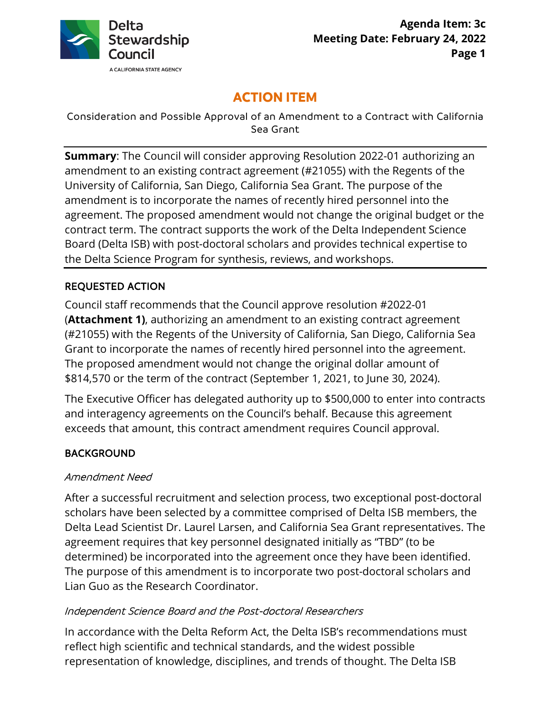

# **ACTION ITEM**

Consideration and Possible Approval of an Amendment to a Contract with California Sea Grant

**Summary**: The Council will consider approving Resolution 2022-01 authorizing an amendment to an existing contract agreement (#21055) with the Regents of the University of California, San Diego, California Sea Grant. The purpose of the amendment is to incorporate the names of recently hired personnel into the agreement. The proposed amendment would not change the original budget or the contract term. The contract supports the work of the Delta Independent Science Board (Delta ISB) with post-doctoral scholars and provides technical expertise to the Delta Science Program for synthesis, reviews, and workshops.

# REQUESTED ACTION

 The proposed amendment would not change the original dollar amount of \$814,570 or the term of the contract (September 1, 2021, to June 30, 2024). Council staff recommends that the Council approve resolution #2022-01 (**Attachment 1)**, authorizing an amendment to an existing contract agreement (#21055) with the Regents of the University of California, San Diego, California Sea Grant to incorporate the names of recently hired personnel into the agreement.

The Executive Officer has delegated authority up to \$500,000 to enter into contracts and interagency agreements on the Council's behalf. Because this agreement exceeds that amount, this contract amendment requires Council approval.

# BACKGROUND

# Amendment Need

 agreement requires that key personnel designated initially as "TBD" (to be Lian Guo as the Research Coordinator. After a successful recruitment and selection process, two exceptional post-doctoral scholars have been selected by a committee comprised of Delta ISB members, the Delta Lead Scientist Dr. Laurel Larsen, and California Sea Grant representatives. The determined) be incorporated into the agreement once they have been identified. The purpose of this amendment is to incorporate two post-doctoral scholars and

#### Independent Science Board and the Post-doctoral Researchers

In accordance with the Delta Reform Act, the Delta ISB's recommendations must reflect high scientific and technical standards, and the widest possible representation of knowledge, disciplines, and trends of thought. The Delta ISB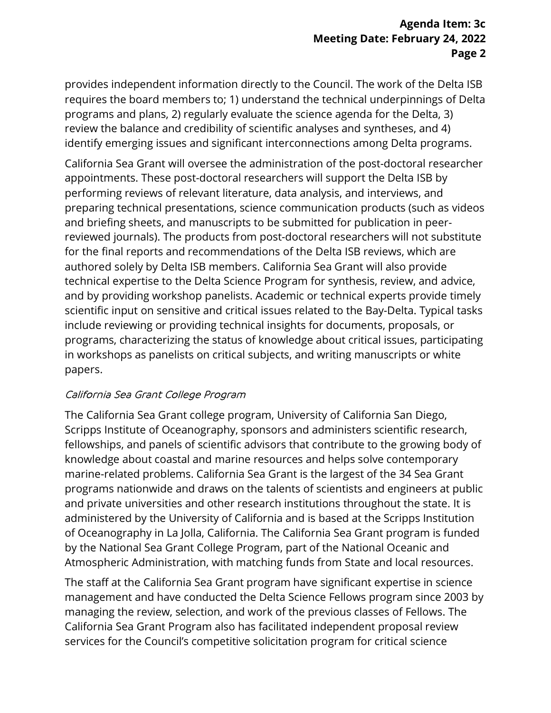# **Meeting Date: February 24, 2022 Page 2 Agenda Item: 3c**

provides independent information directly to the Council. The work of the Delta ISB requires the board members to; 1) understand the technical underpinnings of Delta programs and plans, 2) regularly evaluate the science agenda for the Delta, 3) review the balance and credibility of scientific analyses and syntheses, and 4) identify emerging issues and significant interconnections among Delta programs.

 for the final reports and recommendations of the Delta ISB reviews, which are and by providing workshop panelists. Academic or technical experts provide timely scientific input on sensitive and critical issues related to the Bay-Delta. Typical tasks California Sea Grant will oversee the administration of the post-doctoral researcher appointments. These post-doctoral researchers will support the Delta ISB by performing reviews of relevant literature, data analysis, and interviews, and preparing technical presentations, science communication products (such as videos and briefing sheets, and manuscripts to be submitted for publication in peerreviewed journals). The products from post-doctoral researchers will not substitute authored solely by Delta ISB members. California Sea Grant will also provide technical expertise to the Delta Science Program for synthesis, review, and advice, include reviewing or providing technical insights for documents, proposals, or programs, characterizing the status of knowledge about critical issues, participating in workshops as panelists on critical subjects, and writing manuscripts or white papers.

# California Sea Grant College Program

 marine-related problems. California Sea Grant is the largest of the 34 Sea Grant by the National Sea Grant College Program, part of the National Oceanic and The California Sea Grant college program, University of California San Diego, Scripps Institute of Oceanography, sponsors and administers scientific research, fellowships, and panels of scientific advisors that contribute to the growing body of knowledge about coastal and marine resources and helps solve contemporary programs nationwide and draws on the talents of scientists and engineers at public and private universities and other research institutions throughout the state. It is administered by the University of California and is based at the Scripps Institution of Oceanography in La Jolla, California. The California Sea Grant program is funded Atmospheric Administration, with matching funds from State and local resources.

The staff at the California Sea Grant program have significant expertise in science management and have conducted the Delta Science Fellows program since 2003 by managing the review, selection, and work of the previous classes of Fellows. The California Sea Grant Program also has facilitated independent proposal review services for the Council's competitive solicitation program for critical science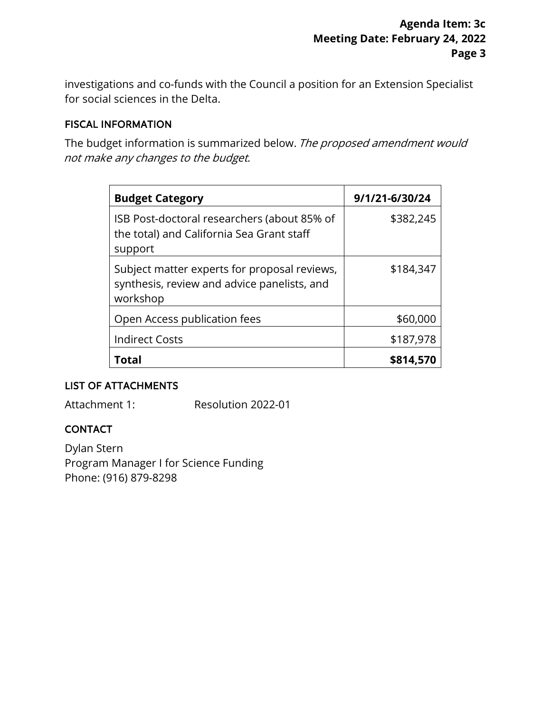investigations and co-funds with the Council a position for an Extension Specialist for social sciences in the Delta.

### FISCAL INFORMATION

 not make any changes to the budget. The budget information is summarized below. The proposed amendment would

| <b>Budget Category</b>                                                                                  | 9/1/21-6/30/24 |
|---------------------------------------------------------------------------------------------------------|----------------|
| ISB Post-doctoral researchers (about 85% of<br>the total) and California Sea Grant staff<br>support     | \$382,245      |
| Subject matter experts for proposal reviews,<br>synthesis, review and advice panelists, and<br>workshop | \$184,347      |
| Open Access publication fees                                                                            | \$60,000       |
| <b>Indirect Costs</b>                                                                                   | \$187,978      |
| Total                                                                                                   | \$814,570      |

# LIST OF ATTACHMENTS

Attachment 1:

Resolution 2022-01

# CONTACT

Dylan Stern Program Manager I for Science Funding Phone: (916) 879-8298